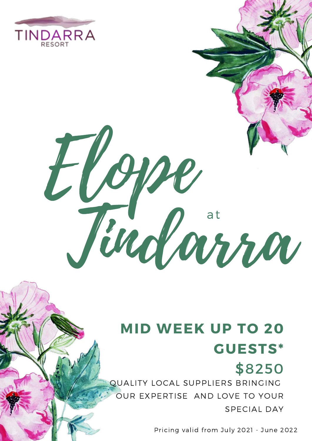

# Elope Tindarra

## **MID WEEK UP TO 20 GUESTS\***

#### \$8250 QUALITY LOCAL SUPPLIERS BRINGING OUR EXPERTISE AND LOVE TO YOUR SPECIAL DAY

Pricing valid from July 2021 - June 2022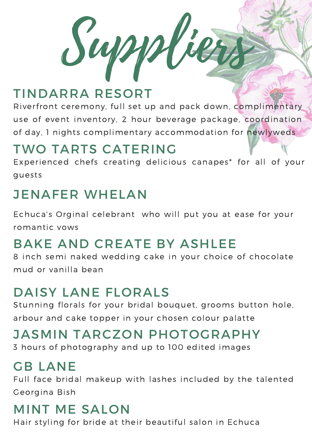$Sup$ 

## TINDARRA RESORT

Riverfront ceremony, full set up and pack down, complimentary use of event inventory, 2 hour beverage package, coordination of day, 1 nights complimentary accommodation for newlyweds

#### TWO TARTS CATERING

Experienced chefs creating delicious canapes\* for all of your guests

## JENAFER WHELAN

Echuca's Orginal celebrant who will put you at ease for your romantic vows

## BAKE AND CREATE BY ASHLEE

8 inch semi naked wedding cake in your choice of chocolate mud or vanilla bean

#### DAISY LANE FLORALS

Stunning florals for your bridal bouquet, grooms button hole, arbour and cake topper in your chosen colour palatte

#### JASMIN TARCZON PHOTOGRAPHY

3 hours of photography and up to 100 edited images

## GB LANE

Full face bridal makeup with lashes included by the talented Georgina Bish

## MINT ME SALON

Hair styling for bride at their beautiful salon in Echuca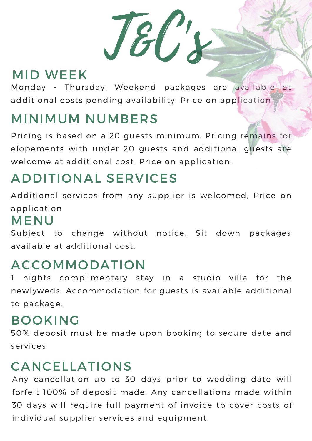T&C's

## MID WEEK

Monday - Thursday. Weekend packages are available at additional costs pending availability. Price on application

## MINIMUM NUMBERS

Pricing is based on a 20 guests minimum. Pricing remains for elopements with under 20 guests and additional guests are welcome at additional cost. Price on application.

## ADDITIONAL SERVICES

Additional services from any supplier is welcomed, Price on application

#### MENU

Subject to change without notice. Sit down packages available at additional cost.

#### ACCOMMODATION

1 nights complimentary stay in a studio villa for the newlyweds. Accommodation for guests is available additional to package.

#### BOOKING

50% deposit must be made upon booking to secure date and services

## CANCELLATIONS

Any cancellation up to 30 days prior to wedding date will forfeit 100% of deposit made. Any cancellations made within 30 days will require full payment of invoice to cover costs of individual supplier services and equipment.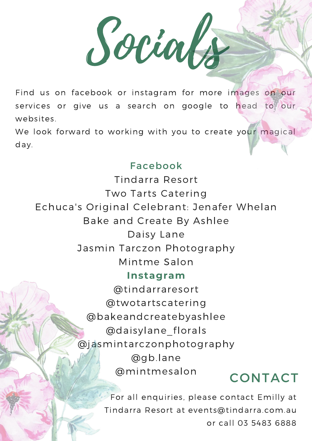Socials

Find us on facebook or instagram for more images on our services or give us a search on google to head to our websites.

We look forward to working with you to create your magical day.

#### Facebook

Tindarra Resort Two Tarts Catering Echuca's Original Celebrant: Jenafer Whelan Bake and Create By Ashlee Daisy Lane Jasmin Tarczon Photography Mintme Salon **Instagram** @tindarraresort @twotartscatering @bakeandcreatebyashlee @daisylane\_florals @jasmintarczonphotography @gb.lane @mintmesalon CONTACT

> For all enquiries, please contact Emilly at Tindarra Resort at events@tindarra.com.au or call 03 5483 6888